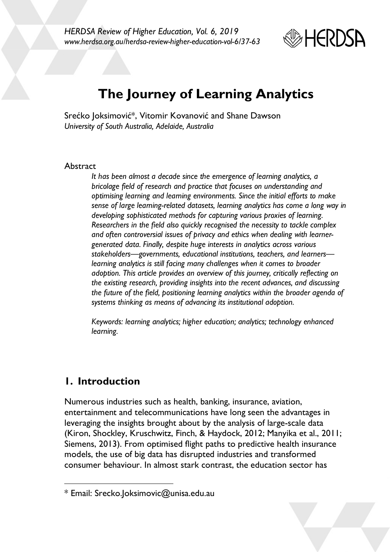

# **The Journey of Learning Analytics**

Srećko Joksimović\*, Vitomir Kovanović and Shane Dawson *University of South Australia, Adelaide, Australia*

#### Abstract

*It has been almost a decade since the emergence of learning analytics, a bricolage field of research and practice that focuses on understanding and optimising learning and learning environments. Since the initial efforts to make sense of large learning-related datasets, learning analytics has come a long way in developing sophisticated methods for capturing various proxies of learning. Researchers in the field also quickly recognised the necessity to tackle complex and often controversial issues of privacy and ethics when dealing with learnergenerated data. Finally, despite huge interests in analytics across various stakeholders—governments, educational institutions, teachers, and learners learning analytics is still facing many challenges when it comes to broader adoption. This article provides an overview of this journey, critically reflecting on the existing research, providing insights into the recent advances, and discussing the future of the field, positioning learning analytics within the broader agenda of systems thinking as means of advancing its institutional adoption.*

*Keywords: learning analytics; higher education; analytics; technology enhanced learning.*

# **1. Introduction**

 $\overline{a}$ 

Numerous industries such as health, banking, insurance, aviation, entertainment and telecommunications have long seen the advantages in leveraging the insights brought about by the analysis of large-scale data (Kiron, Shockley, Kruschwitz, Finch, & Haydock, 2012; Manyika et al., 2011; Siemens, 2013). From optimised flight paths to predictive health insurance models, the use of big data has disrupted industries and transformed consumer behaviour. In almost stark contrast, the education sector has

<sup>\*</sup> Email: Srecko.Joksimovic@unisa.edu.au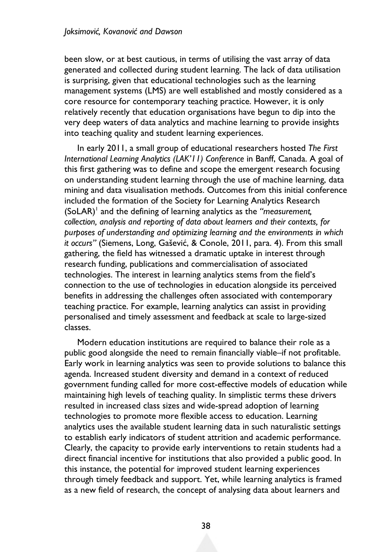been slow, or at best cautious, in terms of utilising the vast array of data generated and collected during student learning. The lack of data utilisation is surprising, given that educational technologies such as the learning management systems (LMS) are well established and mostly considered as a core resource for contemporary teaching practice. However, it is only relatively recently that education organisations have begun to dip into the very deep waters of data analytics and machine learning to provide insights into teaching quality and student learning experiences.

In early 2011, a small group of educational researchers hosted *The First International Learning Analytics (LAK'11) Conference* in Banff, Canada. A goal of this first gathering was to define and scope the emergent research focusing on understanding student learning through the use of machine learning, data mining and data visualisation methods. Outcomes from this initial conference included the formation of the Society for Learning Analytics Research (SoLAR)1 and the defining of learning analytics as the *"measurement, collection, analysis and reporting of data about learners and their contexts, for purposes of understanding and optimizing learning and the environments in which it occurs"* (Siemens, Long, Gašević, & Conole, 2011, para. 4). From this small gathering, the field has witnessed a dramatic uptake in interest through research funding, publications and commercialisation of associated technologies. The interest in learning analytics stems from the field's connection to the use of technologies in education alongside its perceived benefits in addressing the challenges often associated with contemporary teaching practice. For example, learning analytics can assist in providing personalised and timely assessment and feedback at scale to large-sized classes.

Modern education institutions are required to balance their role as a public good alongside the need to remain financially viable–if not profitable. Early work in learning analytics was seen to provide solutions to balance this agenda. Increased student diversity and demand in a context of reduced government funding called for more cost-effective models of education while maintaining high levels of teaching quality. In simplistic terms these drivers resulted in increased class sizes and wide-spread adoption of learning technologies to promote more flexible access to education. Learning analytics uses the available student learning data in such naturalistic settings to establish early indicators of student attrition and academic performance. Clearly, the capacity to provide early interventions to retain students had a direct financial incentive for institutions that also provided a public good. In this instance, the potential for improved student learning experiences through timely feedback and support. Yet, while learning analytics is framed as a new field of research, the concept of analysing data about learners and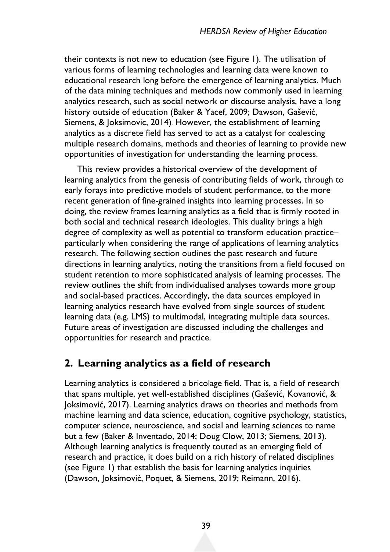their contexts is not new to education (see Figure 1). The utilisation of various forms of learning technologies and learning data were known to educational research long before the emergence of learning analytics. Much of the data mining techniques and methods now commonly used in learning analytics research, such as social network or discourse analysis, have a long history outside of education (Baker & Yacef, 2009; Dawson, Gašević, Siemens, & Joksimovic, 2014). However, the establishment of learning analytics as a discrete field has served to act as a catalyst for coalescing multiple research domains, methods and theories of learning to provide new opportunities of investigation for understanding the learning process.

This review provides a historical overview of the development of learning analytics from the genesis of contributing fields of work, through to early forays into predictive models of student performance, to the more recent generation of fine-grained insights into learning processes. In so doing, the review frames learning analytics as a field that is firmly rooted in both social and technical research ideologies. This duality brings a high degree of complexity as well as potential to transform education practice– particularly when considering the range of applications of learning analytics research. The following section outlines the past research and future directions in learning analytics, noting the transitions from a field focused on student retention to more sophisticated analysis of learning processes. The review outlines the shift from individualised analyses towards more group and social-based practices. Accordingly, the data sources employed in learning analytics research have evolved from single sources of student learning data (e.g. LMS) to multimodal, integrating multiple data sources. Future areas of investigation are discussed including the challenges and opportunities for research and practice.

### **2. Learning analytics as a field of research**

Learning analytics is considered a bricolage field. That is, a field of research that spans multiple, yet well-established disciplines (Gašević, Kovanović, & Joksimović, 2017). Learning analytics draws on theories and methods from machine learning and data science, education, cognitive psychology, statistics, computer science, neuroscience, and social and learning sciences to name but a few (Baker & Inventado, 2014; Doug Clow, 2013; Siemens, 2013). Although learning analytics is frequently touted as an emerging field of research and practice, it does build on a rich history of related disciplines (see Figure 1) that establish the basis for learning analytics inquiries (Dawson, Joksimović, Poquet, & Siemens, 2019; Reimann, 2016).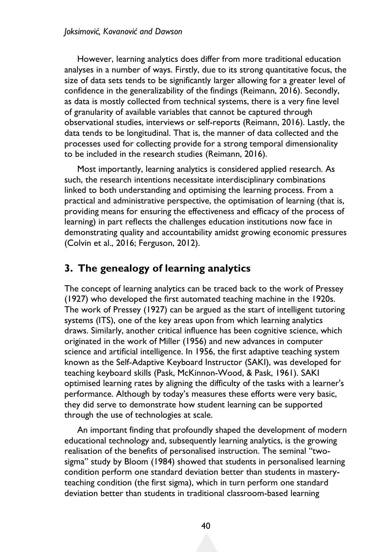However, learning analytics does differ from more traditional education analyses in a number of ways. Firstly, due to its strong quantitative focus, the size of data sets tends to be significantly larger allowing for a greater level of confidence in the generalizability of the findings (Reimann, 2016). Secondly, as data is mostly collected from technical systems, there is a very fine level of granularity of available variables that cannot be captured through observational studies, interviews or self-reports (Reimann, 2016). Lastly, the data tends to be longitudinal. That is, the manner of data collected and the processes used for collecting provide for a strong temporal dimensionality to be included in the research studies (Reimann, 2016).

Most importantly, learning analytics is considered applied research. As such, the research intentions necessitate interdisciplinary combinations linked to both understanding and optimising the learning process. From a practical and administrative perspective, the optimisation of learning (that is, providing means for ensuring the effectiveness and efficacy of the process of learning) in part reflects the challenges education institutions now face in demonstrating quality and accountability amidst growing economic pressures (Colvin et al., 2016; Ferguson, 2012).

# **3. The genealogy of learning analytics**

The concept of learning analytics can be traced back to the work of Pressey (1927) who developed the first automated teaching machine in the 1920s. The work of Pressey (1927) can be argued as the start of intelligent tutoring systems (ITS), one of the key areas upon from which learning analytics draws. Similarly, another critical influence has been cognitive science, which originated in the work of Miller (1956) and new advances in computer science and artificial intelligence. In 1956, the first adaptive teaching system known as the Self-Adaptive Keyboard Instructor (SAKI), was developed for teaching keyboard skills (Pask, McKinnon-Wood, & Pask, 1961). SAKI optimised learning rates by aligning the difficulty of the tasks with a learner's performance. Although by today's measures these efforts were very basic, they did serve to demonstrate how student learning can be supported through the use of technologies at scale.

An important finding that profoundly shaped the development of modern educational technology and, subsequently learning analytics, is the growing realisation of the benefits of personalised instruction. The seminal "twosigma" study by Bloom (1984) showed that students in personalised learning condition perform one standard deviation better than students in masteryteaching condition (the first sigma), which in turn perform one standard deviation better than students in traditional classroom-based learning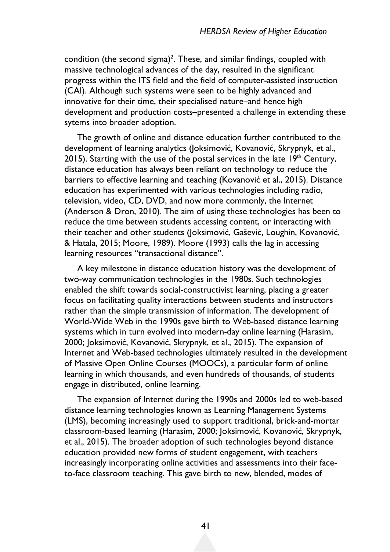condition (the second sigma)<sup>2</sup>. These, and similar findings, coupled with massive technological advances of the day, resulted in the significant progress within the ITS field and the field of computer-assisted instruction (CAI). Although such systems were seen to be highly advanced and innovative for their time, their specialised nature–and hence high development and production costs–presented a challenge in extending these sytems into broader adoption.

The growth of online and distance education further contributed to the development of learning analytics (Joksimović, Kovanović, Skrypnyk, et al., 2015). Starting with the use of the postal services in the late  $19<sup>th</sup>$  Century, distance education has always been reliant on technology to reduce the barriers to effective learning and teaching (Kovanović et al., 2015). Distance education has experimented with various technologies including radio, television, video, CD, DVD, and now more commonly, the Internet (Anderson & Dron, 2010). The aim of using these technologies has been to reduce the time between students accessing content, or interacting with their teacher and other students (Joksimović, Gašević, Loughin, Kovanović, & Hatala, 2015; Moore, 1989). Moore (1993) calls the lag in accessing learning resources "transactional distance".

A key milestone in distance education history was the development of two-way communication technologies in the 1980s. Such technologies enabled the shift towards social-constructivist learning, placing a greater focus on facilitating quality interactions between students and instructors rather than the simple transmission of information. The development of World-Wide Web in the 1990s gave birth to Web-based distance learning systems which in turn evolved into modern-day online learning (Harasim, 2000; Joksimović, Kovanović, Skrypnyk, et al., 2015). The expansion of Internet and Web-based technologies ultimately resulted in the development of Massive Open Online Courses (MOOCs), a particular form of online learning in which thousands, and even hundreds of thousands, of students engage in distributed, online learning.

The expansion of Internet during the 1990s and 2000s led to web-based distance learning technologies known as Learning Management Systems (LMS), becoming increasingly used to support traditional, brick-and-mortar classroom-based learning (Harasim, 2000; Joksimović, Kovanović, Skrypnyk, et al., 2015). The broader adoption of such technologies beyond distance education provided new forms of student engagement, with teachers increasingly incorporating online activities and assessments into their faceto-face classroom teaching. This gave birth to new, blended, modes of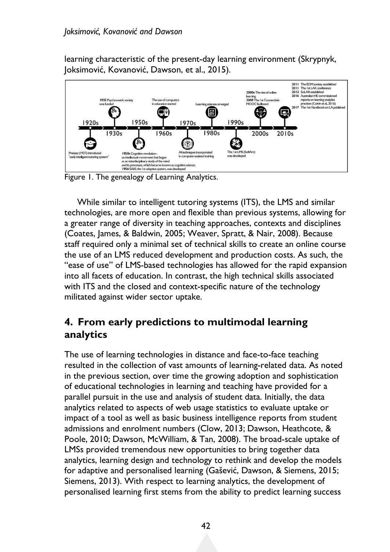learning characteristic of the present-day learning environment (Skrypnyk, Joksimović, Kovanović, Dawson, et al., 2015).



Figure 1. The genealogy of Learning Analytics.

While similar to intelligent tutoring systems (ITS), the LMS and similar technologies, are more open and flexible than previous systems, allowing for a greater range of diversity in teaching approaches, contexts and disciplines (Coates, James, & Baldwin, 2005; Weaver, Spratt, & Nair, 2008). Because staff required only a minimal set of technical skills to create an online course the use of an LMS reduced development and production costs. As such, the "ease of use" of LMS-based technologies has allowed for the rapid expansion into all facets of education. In contrast, the high technical skills associated with ITS and the closed and context-specific nature of the technology militated against wider sector uptake.

### **4. From early predictions to multimodal learning analytics**

The use of learning technologies in distance and face-to-face teaching resulted in the collection of vast amounts of learning-related data. As noted in the previous section, over time the growing adoption and sophistication of educational technologies in learning and teaching have provided for a parallel pursuit in the use and analysis of student data. Initially, the data analytics related to aspects of web usage statistics to evaluate uptake or impact of a tool as well as basic business intelligence reports from student admissions and enrolment numbers (Clow, 2013; Dawson, Heathcote, & Poole, 2010; Dawson, McWilliam, & Tan, 2008). The broad-scale uptake of LMSs provided tremendous new opportunities to bring together data analytics, learning design and technology to rethink and develop the models for adaptive and personalised learning (Gašević, Dawson, & Siemens, 2015; Siemens, 2013). With respect to learning analytics, the development of personalised learning first stems from the ability to predict learning success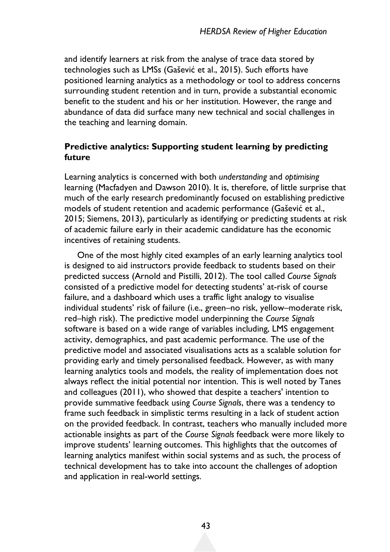and identify learners at risk from the analyse of trace data stored by technologies such as LMSs (Gašević et al., 2015). Such efforts have positioned learning analytics as a methodology or tool to address concerns surrounding student retention and in turn, provide a substantial economic benefit to the student and his or her institution. However, the range and abundance of data did surface many new technical and social challenges in the teaching and learning domain.

### **Predictive analytics: Supporting student learning by predicting future**

Learning analytics is concerned with both *understanding* and *optimising* learning (Macfadyen and Dawson 2010). It is, therefore, of little surprise that much of the early research predominantly focused on establishing predictive models of student retention and academic performance (Gašević et al., 2015; Siemens, 2013), particularly as identifying or predicting students at risk of academic failure early in their academic candidature has the economic incentives of retaining students.

One of the most highly cited examples of an early learning analytics tool is designed to aid instructors provide feedback to students based on their predicted success (Arnold and Pistilli, 2012). The tool called *Course Signals* consisted of a predictive model for detecting students' at-risk of course failure, and a dashboard which uses a traffic light analogy to visualise individual students' risk of failure (i.e., green–no risk, yellow–moderate risk, red–high risk). The predictive model underpinning the *Course Signals* software is based on a wide range of variables including, LMS engagement activity, demographics, and past academic performance. The use of the predictive model and associated visualisations acts as a scalable solution for providing early and timely personalised feedback. However, as with many learning analytics tools and models, the reality of implementation does not always reflect the initial potential nor intention. This is well noted by Tanes and colleagues (2011), who showed that despite a teachers' intention to provide summative feedback using *Course Signals*, there was a tendency to frame such feedback in simplistic terms resulting in a lack of student action on the provided feedback. In contrast, teachers who manually included more actionable insights as part of the *Course Signals* feedback were more likely to improve students' learning outcomes. This highlights that the outcomes of learning analytics manifest within social systems and as such, the process of technical development has to take into account the challenges of adoption and application in real-world settings.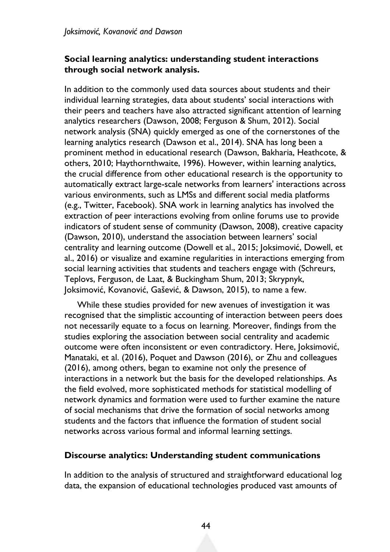#### **Social learning analytics: understanding student interactions through social network analysis.**

In addition to the commonly used data sources about students and their individual learning strategies, data about students' social interactions with their peers and teachers have also attracted significant attention of learning analytics researchers (Dawson, 2008; Ferguson & Shum, 2012). Social network analysis (SNA) quickly emerged as one of the cornerstones of the learning analytics research (Dawson et al., 2014). SNA has long been a prominent method in educational research (Dawson, Bakharia, Heathcote, & others, 2010; Haythornthwaite, 1996). However, within learning analytics, the crucial difference from other educational research is the opportunity to automatically extract large-scale networks from learners' interactions across various environments, such as LMSs and different social media platforms (e.g., Twitter, Facebook). SNA work in learning analytics has involved the extraction of peer interactions evolving from online forums use to provide indicators of student sense of community (Dawson, 2008), creative capacity (Dawson, 2010), understand the association between learners' social centrality and learning outcome (Dowell et al., 2015; Joksimović, Dowell, et al., 2016) or visualize and examine regularities in interactions emerging from social learning activities that students and teachers engage with (Schreurs, Teplovs, Ferguson, de Laat, & Buckingham Shum, 2013; Skrypnyk, Joksimović, Kovanović, Gašević, & Dawson, 2015), to name a few.

While these studies provided for new avenues of investigation it was recognised that the simplistic accounting of interaction between peers does not necessarily equate to a focus on learning. Moreover, findings from the studies exploring the association between social centrality and academic outcome were often inconsistent or even contradictory. Here, Joksimović, Manataki, et al. (2016), Poquet and Dawson (2016), or Zhu and colleagues (2016), among others, began to examine not only the presence of interactions in a network but the basis for the developed relationships. As the field evolved, more sophisticated methods for statistical modelling of network dynamics and formation were used to further examine the nature of social mechanisms that drive the formation of social networks among students and the factors that influence the formation of student social networks across various formal and informal learning settings.

#### **Discourse analytics: Understanding student communications**

In addition to the analysis of structured and straightforward educational log data, the expansion of educational technologies produced vast amounts of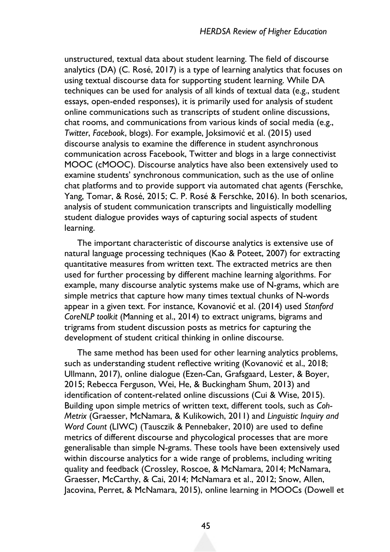unstructured, textual data about student learning. The field of discourse analytics (DA) (C. Rosé, 2017) is a type of learning analytics that focuses on using textual discourse data for supporting student learning. While DA techniques can be used for analysis of all kinds of textual data (e.g., student essays, open-ended responses), it is primarily used for analysis of student online communications such as transcripts of student online discussions, chat rooms, and communications from various kinds of social media (e.g., *Twitter*, *Facebook*, blogs). For example, Joksimović et al. (2015) used discourse analysis to examine the difference in student asynchronous communication across Facebook, Twitter and blogs in a large connectivist MOOC (cMOOC). Discourse analytics have also been extensively used to examine students' synchronous communication, such as the use of online chat platforms and to provide support via automated chat agents (Ferschke, Yang, Tomar, & Rosé, 2015; C. P. Rosé & Ferschke, 2016). In both scenarios, analysis of student communication transcripts and linguistically modelling student dialogue provides ways of capturing social aspects of student learning.

The important characteristic of discourse analytics is extensive use of natural language processing techniques (Kao & Poteet, 2007) for extracting quantitative measures from written text. The extracted metrics are then used for further processing by different machine learning algorithms. For example, many discourse analytic systems make use of N-grams, which are simple metrics that capture how many times textual chunks of N-words appear in a given text. For instance, Kovanović et al. (2014) used *Stanford CoreNLP toolkit* (Manning et al., 2014) to extract unigrams, bigrams and trigrams from student discussion posts as metrics for capturing the development of student critical thinking in online discourse.

The same method has been used for other learning analytics problems, such as understanding student reflective writing (Kovanović et al., 2018; Ullmann, 2017), online dialogue (Ezen-Can, Grafsgaard, Lester, & Boyer, 2015; Rebecca Ferguson, Wei, He, & Buckingham Shum, 2013) and identification of content-related online discussions (Cui & Wise, 2015). Building upon simple metrics of written text, different tools, such as *Coh-Metrix* (Graesser, McNamara, & Kulikowich, 2011) and *Linguistic Inquiry and Word Count* (LIWC) (Tausczik & Pennebaker, 2010) are used to define metrics of different discourse and phycological processes that are more generalisable than simple N-grams. These tools have been extensively used within discourse analytics for a wide range of problems, including writing quality and feedback (Crossley, Roscoe, & McNamara, 2014; McNamara, Graesser, McCarthy, & Cai, 2014; McNamara et al., 2012; Snow, Allen, Jacovina, Perret, & McNamara, 2015), online learning in MOOCs (Dowell et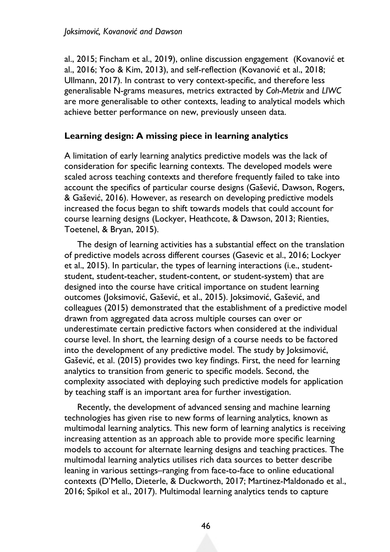al., 2015; Fincham et al., 2019), online discussion engagement (Kovanović et al., 2016; Yoo & Kim, 2013), and self-reflection (Kovanović et al., 2018; Ullmann, 2017). In contrast to very context-specific, and therefore less generalisable N-grams measures, metrics extracted by *Coh-Metrix* and *LIWC* are more generalisable to other contexts, leading to analytical models which achieve better performance on new, previously unseen data.

#### **Learning design: A missing piece in learning analytics**

A limitation of early learning analytics predictive models was the lack of consideration for specific learning contexts. The developed models were scaled across teaching contexts and therefore frequently failed to take into account the specifics of particular course designs (Gašević, Dawson, Rogers, & Gašević, 2016). However, as research on developing predictive models increased the focus began to shift towards models that could account for course learning designs (Lockyer, Heathcote, & Dawson, 2013; Rienties, Toetenel, & Bryan, 2015).

The design of learning activities has a substantial effect on the translation of predictive models across different courses (Gasevic et al., 2016; Lockyer et al., 2015). In particular, the types of learning interactions (i.e., studentstudent, student-teacher, student-content, or student-system) that are designed into the course have critical importance on student learning outcomes (Joksimović, Gašević, et al., 2015). Joksimović, Gašević, and colleagues (2015) demonstrated that the establishment of a predictive model drawn from aggregated data across multiple courses can over or underestimate certain predictive factors when considered at the individual course level. In short, the learning design of a course needs to be factored into the development of any predictive model. The study by Joksimović, Gašević, et al. (2015) provides two key findings. First, the need for learning analytics to transition from generic to specific models. Second, the complexity associated with deploying such predictive models for application by teaching staff is an important area for further investigation.

Recently, the development of advanced sensing and machine learning technologies has given rise to new forms of learning analytics, known as multimodal learning analytics. This new form of learning analytics is receiving increasing attention as an approach able to provide more specific learning models to account for alternate learning designs and teaching practices. The multimodal learning analytics utilises rich data sources to better describe leaning in various settings–ranging from face-to-face to online educational contexts (D'Mello, Dieterle, & Duckworth, 2017; Martinez-Maldonado et al., 2016; Spikol et al., 2017). Multimodal learning analytics tends to capture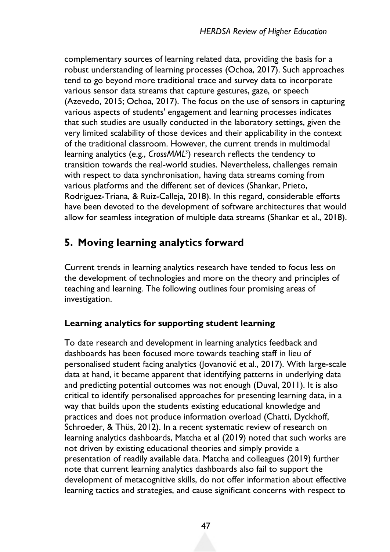complementary sources of learning related data, providing the basis for a robust understanding of learning processes (Ochoa, 2017). Such approaches tend to go beyond more traditional trace and survey data to incorporate various sensor data streams that capture gestures, gaze, or speech (Azevedo, 2015; Ochoa, 2017). The focus on the use of sensors in capturing various aspects of students' engagement and learning processes indicates that such studies are usually conducted in the laboratory settings, given the very limited scalability of those devices and their applicability in the context of the traditional classroom. However, the current trends in multimodal learning analytics (e.g., *CrossMML<sup>3</sup>*) research reflects the tendency to transition towards the real-world studies. Nevertheless, challenges remain with respect to data synchronisation, having data streams coming from various platforms and the different set of devices (Shankar, Prieto, Rodriguez-Triana, & Ruiz-Calleja, 2018). In this regard, considerable efforts have been devoted to the development of software architectures that would allow for seamless integration of multiple data streams (Shankar et al., 2018).

# **5. Moving learning analytics forward**

Current trends in learning analytics research have tended to focus less on the development of technologies and more on the theory and principles of teaching and learning. The following outlines four promising areas of investigation.

### **Learning analytics for supporting student learning**

To date research and development in learning analytics feedback and dashboards has been focused more towards teaching staff in lieu of personalised student facing analytics (Jovanović et al., 2017). With large-scale data at hand, it became apparent that identifying patterns in underlying data and predicting potential outcomes was not enough (Duval, 2011). It is also critical to identify personalised approaches for presenting learning data, in a way that builds upon the students existing educational knowledge and practices and does not produce information overload (Chatti, Dyckhoff, Schroeder, & Thüs, 2012). In a recent systematic review of research on learning analytics dashboards, Matcha et al (2019) noted that such works are not driven by existing educational theories and simply provide a presentation of readily available data. Matcha and colleagues (2019) further note that current learning analytics dashboards also fail to support the development of metacognitive skills, do not offer information about effective learning tactics and strategies, and cause significant concerns with respect to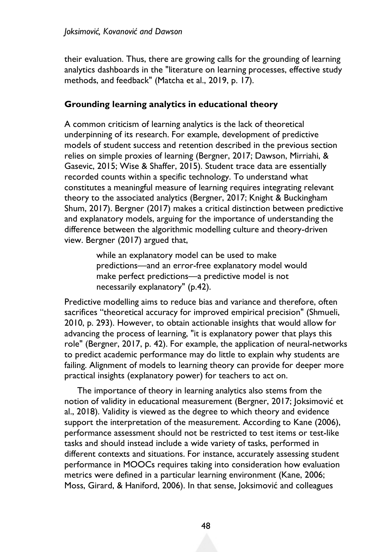their evaluation. Thus, there are growing calls for the grounding of learning analytics dashboards in the "literature on learning processes, effective study methods, and feedback" (Matcha et al., 2019, p. 17).

#### **Grounding learning analytics in educational theory**

A common criticism of learning analytics is the lack of theoretical underpinning of its research. For example, development of predictive models of student success and retention described in the previous section relies on simple proxies of learning (Bergner, 2017; Dawson, Mirriahi, & Gasevic, 2015; Wise & Shaffer, 2015). Student trace data are essentially recorded counts within a specific technology. To understand what constitutes a meaningful measure of learning requires integrating relevant theory to the associated analytics (Bergner, 2017; Knight & Buckingham Shum, 2017). Bergner (2017) makes a critical distinction between predictive and explanatory models, arguing for the importance of understanding the difference between the algorithmic modelling culture and theory-driven view. Bergner (2017) argued that,

> while an explanatory model can be used to make predictions—and an error-free explanatory model would make perfect predictions—a predictive model is not necessarily explanatory" (p.42).

Predictive modelling aims to reduce bias and variance and therefore, often sacrifices "theoretical accuracy for improved empirical precision" (Shmueli, 2010, p. 293). However, to obtain actionable insights that would allow for advancing the process of learning, "it is explanatory power that plays this role" (Bergner, 2017, p. 42). For example, the application of neural-networks to predict academic performance may do little to explain why students are failing. Alignment of models to learning theory can provide for deeper more practical insights (explanatory power) for teachers to act on.

The importance of theory in learning analytics also stems from the notion of validity in educational measurement (Bergner, 2017; Joksimović et al., 2018). Validity is viewed as the degree to which theory and evidence support the interpretation of the measurement. According to Kane (2006), performance assessment should not be restricted to test items or test-like tasks and should instead include a wide variety of tasks, performed in different contexts and situations. For instance, accurately assessing student performance in MOOCs requires taking into consideration how evaluation metrics were defined in a particular learning environment (Kane, 2006; Moss, Girard, & Haniford, 2006). In that sense, Joksimović and colleagues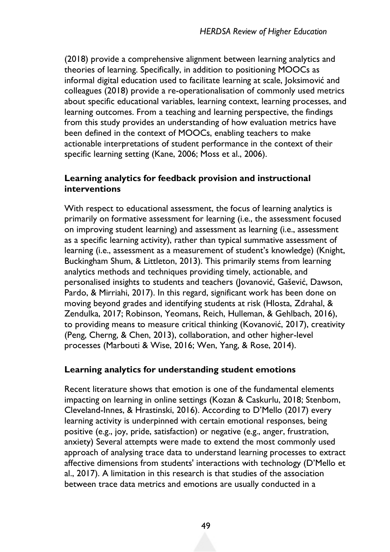(2018) provide a comprehensive alignment between learning analytics and theories of learning. Specifically, in addition to positioning MOOCs as informal digital education used to facilitate learning at scale, Joksimović and colleagues (2018) provide a re-operationalisation of commonly used metrics about specific educational variables, learning context, learning processes, and learning outcomes. From a teaching and learning perspective, the findings from this study provides an understanding of how evaluation metrics have been defined in the context of MOOCs, enabling teachers to make actionable interpretations of student performance in the context of their specific learning setting (Kane, 2006; Moss et al., 2006).

### **Learning analytics for feedback provision and instructional interventions**

With respect to educational assessment, the focus of learning analytics is primarily on formative assessment for learning (i.e., the assessment focused on improving student learning) and assessment as learning (i.e., assessment as a specific learning activity), rather than typical summative assessment of learning (i.e., assessment as a measurement of student's knowledge) (Knight, Buckingham Shum, & Littleton, 2013). This primarily stems from learning analytics methods and techniques providing timely, actionable, and personalised insights to students and teachers (Jovanović, Gašević, Dawson, Pardo, & Mirriahi, 2017). In this regard, significant work has been done on moving beyond grades and identifying students at risk (Hlosta, Zdrahal, & Zendulka, 2017; Robinson, Yeomans, Reich, Hulleman, & Gehlbach, 2016), to providing means to measure critical thinking (Kovanović, 2017), creativity (Peng, Cherng, & Chen, 2013), collaboration, and other higher-level processes (Marbouti & Wise, 2016; Wen, Yang, & Rose, 2014).

### **Learning analytics for understanding student emotions**

Recent literature shows that emotion is one of the fundamental elements impacting on learning in online settings (Kozan & Caskurlu, 2018; Stenbom, Cleveland-Innes, & Hrastinski, 2016). According to D'Mello (2017) every learning activity is underpinned with certain emotional responses, being positive (e.g., joy, pride, satisfaction) or negative (e.g., anger, frustration, anxiety) Several attempts were made to extend the most commonly used approach of analysing trace data to understand learning processes to extract affective dimensions from students' interactions with technology (D'Mello et al., 2017). A limitation in this research is that studies of the association between trace data metrics and emotions are usually conducted in a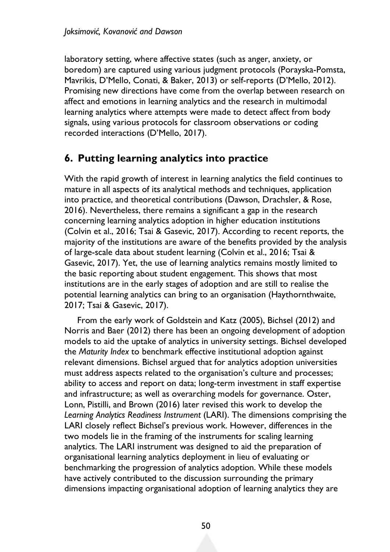laboratory setting, where affective states (such as anger, anxiety, or boredom) are captured using various judgment protocols (Porayska-Pomsta, Mavrikis, D'Mello, Conati, & Baker, 2013) or self-reports (D'Mello, 2012). Promising new directions have come from the overlap between research on affect and emotions in learning analytics and the research in multimodal learning analytics where attempts were made to detect affect from body signals, using various protocols for classroom observations or coding recorded interactions (D'Mello, 2017).

### **6. Putting learning analytics into practice**

With the rapid growth of interest in learning analytics the field continues to mature in all aspects of its analytical methods and techniques, application into practice, and theoretical contributions (Dawson, Drachsler, & Rose, 2016). Nevertheless, there remains a significant a gap in the research concerning learning analytics adoption in higher education institutions (Colvin et al., 2016; Tsai & Gasevic, 2017). According to recent reports, the majority of the institutions are aware of the benefits provided by the analysis of large-scale data about student learning (Colvin et al., 2016; Tsai & Gasevic, 2017). Yet, the use of learning analytics remains mostly limited to the basic reporting about student engagement. This shows that most institutions are in the early stages of adoption and are still to realise the potential learning analytics can bring to an organisation (Haythornthwaite, 2017; Tsai & Gasevic, 2017).

From the early work of Goldstein and Katz (2005), Bichsel (2012) and Norris and Baer (2012) there has been an ongoing development of adoption models to aid the uptake of analytics in university settings. Bichsel developed the *Maturity Index* to benchmark effective institutional adoption against relevant dimensions. Bichsel argued that for analytics adoption universities must address aspects related to the organisation's culture and processes; ability to access and report on data; long-term investment in staff expertise and infrastructure; as well as overarching models for governance. Oster, Lonn, Pistilli, and Brown (2016) later revised this work to develop the *Learning Analytics Readiness Instrument* (LARI). The dimensions comprising the LARI closely reflect Bichsel's previous work. However, differences in the two models lie in the framing of the instruments for scaling learning analytics. The LARI instrument was designed to aid the preparation of organisational learning analytics deployment in lieu of evaluating or benchmarking the progression of analytics adoption. While these models have actively contributed to the discussion surrounding the primary dimensions impacting organisational adoption of learning analytics they are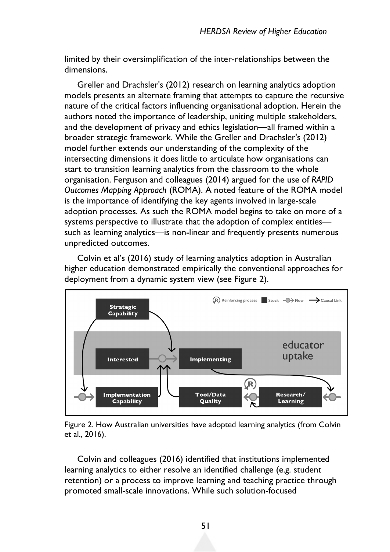limited by their oversimplification of the inter-relationships between the dimensions.

Greller and Drachsler's (2012) research on learning analytics adoption models presents an alternate framing that attempts to capture the recursive nature of the critical factors influencing organisational adoption. Herein the authors noted the importance of leadership, uniting multiple stakeholders, and the development of privacy and ethics legislation—all framed within a broader strategic framework. While the Greller and Drachsler's (2012) model further extends our understanding of the complexity of the intersecting dimensions it does little to articulate how organisations can start to transition learning analytics from the classroom to the whole organisation. Ferguson and colleagues (2014) argued for the use of *RAPID Outcomes Mapping Approach* (ROMA). A noted feature of the ROMA model is the importance of identifying the key agents involved in large-scale adoption processes. As such the ROMA model begins to take on more of a systems perspective to illustrate that the adoption of complex entities such as learning analytics—is non-linear and frequently presents numerous unpredicted outcomes.

Colvin et al's (2016) study of learning analytics adoption in Australian higher education demonstrated empirically the conventional approaches for deployment from a dynamic system view (see Figure 2).



Figure 2. How Australian universities have adopted learning analytics (from Colvin et al., 2016).

Colvin and colleagues (2016) identified that institutions implemented learning analytics to either resolve an identified challenge (e.g. student retention) or a process to improve learning and teaching practice through promoted small-scale innovations. While such solution-focused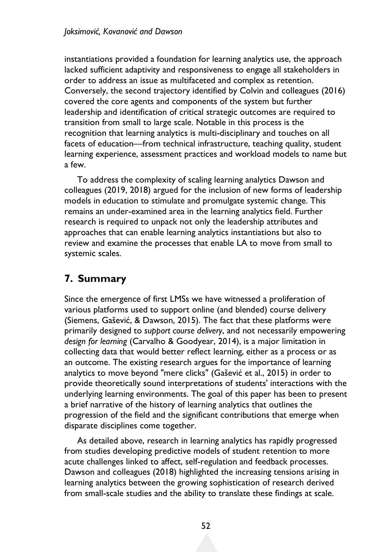instantiations provided a foundation for learning analytics use, the approach lacked sufficient adaptivity and responsiveness to engage all stakeholders in order to address an issue as multifaceted and complex as retention. Conversely, the second trajectory identified by Colvin and colleagues (2016) covered the core agents and components of the system but further leadership and identification of critical strategic outcomes are required to transition from small to large scale. Notable in this process is the recognition that learning analytics is multi-disciplinary and touches on all facets of education—from technical infrastructure, teaching quality, student learning experience, assessment practices and workload models to name but a few.

To address the complexity of scaling learning analytics Dawson and colleagues (2019, 2018) argued for the inclusion of new forms of leadership models in education to stimulate and promulgate systemic change. This remains an under-examined area in the learning analytics field. Further research is required to unpack not only the leadership attributes and approaches that can enable learning analytics instantiations but also to review and examine the processes that enable LA to move from small to systemic scales.

# **7. Summary**

Since the emergence of first LMSs we have witnessed a proliferation of various platforms used to support online (and blended) course delivery (Siemens, Gašević, & Dawson, 2015). The fact that these platforms were primarily designed to *support course delivery*, and not necessarily empowering *design for learning* (Carvalho & Goodyear, 2014), is a major limitation in collecting data that would better reflect learning, either as a process or as an outcome. The existing research argues for the importance of learning analytics to move beyond "mere clicks" (Gašević et al., 2015) in order to provide theoretically sound interpretations of students' interactions with the underlying learning environments. The goal of this paper has been to present a brief narrative of the history of learning analytics that outlines the progression of the field and the significant contributions that emerge when disparate disciplines come together.

As detailed above, research in learning analytics has rapidly progressed from studies developing predictive models of student retention to more acute challenges linked to affect, self-regulation and feedback processes. Dawson and colleagues (2018) highlighted the increasing tensions arising in learning analytics between the growing sophistication of research derived from small-scale studies and the ability to translate these findings at scale.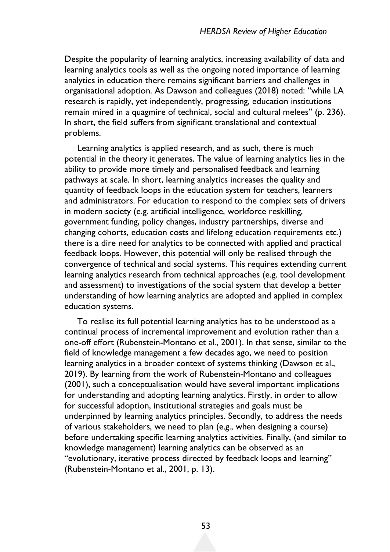Despite the popularity of learning analytics, increasing availability of data and learning analytics tools as well as the ongoing noted importance of learning analytics in education there remains significant barriers and challenges in organisational adoption. As Dawson and colleagues (2018) noted: "while LA research is rapidly, yet independently, progressing, education institutions remain mired in a quagmire of technical, social and cultural melees" (p. 236). In short, the field suffers from significant translational and contextual problems.

Learning analytics is applied research, and as such, there is much potential in the theory it generates. The value of learning analytics lies in the ability to provide more timely and personalised feedback and learning pathways at scale. In short, learning analytics increases the quality and quantity of feedback loops in the education system for teachers, learners and administrators. For education to respond to the complex sets of drivers in modern society (e.g. artificial intelligence, workforce reskilling, government funding, policy changes, industry partnerships, diverse and changing cohorts, education costs and lifelong education requirements etc.) there is a dire need for analytics to be connected with applied and practical feedback loops. However, this potential will only be realised through the convergence of technical and social systems. This requires extending current learning analytics research from technical approaches (e.g. tool development and assessment) to investigations of the social system that develop a better understanding of how learning analytics are adopted and applied in complex education systems.

To realise its full potential learning analytics has to be understood as a continual process of incremental improvement and evolution rather than a one-off effort (Rubenstein-Montano et al., 2001). In that sense, similar to the field of knowledge management a few decades ago, we need to position learning analytics in a broader context of systems thinking (Dawson et al., 2019). By learning from the work of Rubenstein-Montano and colleagues (2001), such a conceptualisation would have several important implications for understanding and adopting learning analytics. Firstly, in order to allow for successful adoption, institutional strategies and goals must be underpinned by learning analytics principles. Secondly, to address the needs of various stakeholders, we need to plan (e.g., when designing a course) before undertaking specific learning analytics activities. Finally, (and similar to knowledge management) learning analytics can be observed as an "evolutionary, iterative process directed by feedback loops and learning" (Rubenstein-Montano et al., 2001, p. 13).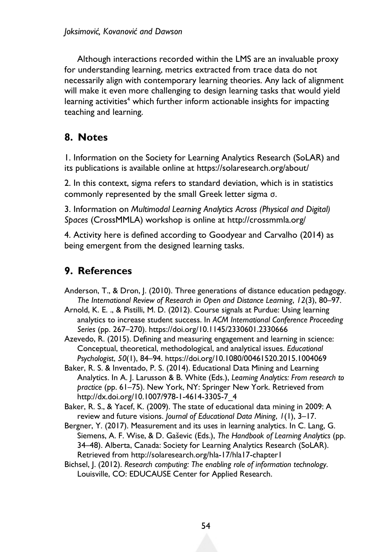Although interactions recorded within the LMS are an invaluable proxy for understanding learning, metrics extracted from trace data do not necessarily align with contemporary learning theories. Any lack of alignment will make it even more challenging to design learning tasks that would yield learning activities<sup>4</sup> which further inform actionable insights for impacting teaching and learning.

### **8. Notes**

1. Information on the Society for Learning Analytics Research (SoLAR) and its publications is available online at https://solaresearch.org/about/

2. In this context, sigma refers to standard deviation, which is in statistics commonly represented by the small Greek letter sigma σ.

3. Information on *Multimodal Learning Analytics Across (Physical and Digital) Spaces* (CrossMMLA) workshop is online at http://crossmmla.org/

4. Activity here is defined according to Goodyear and Carvalho (2014) as being emergent from the designed learning tasks.

# **9. References**

- Anderson, T., & Dron, J. (2010). Three generations of distance education pedagogy. *The International Review of Research in Open and Distance Learning*, *12*(3), 80–97.
- Arnold, K. E. ., & Pistilli, M. D. (2012). Course signals at Purdue: Using learning analytics to increase student success. In *ACM International Conference Proceeding Series* (pp. 267–270). https://doi.org/10.1145/2330601.2330666

Azevedo, R. (2015). Defining and measuring engagement and learning in science: Conceptual, theoretical, methodological, and analytical issues. *Educational Psychologist*, *50*(1), 84–94. https://doi.org/10.1080/00461520.2015.1004069

Baker, R. S. & Inventado, P. S. (2014). Educational Data Mining and Learning Analytics. In A. J. Larusson & B. White (Eds.), *Learning Analytics: From research to practice* (pp. 61–75). New York, NY: Springer New York. Retrieved from http://dx.doi.org/10.1007/978-1-4614-3305-7\_4

Baker, R. S., & Yacef, K. (2009). The state of educational data mining in 2009: A review and future visions. *Journal of Educational Data Mining*, *1*(1), 3–17.

- Bergner, Y. (2017). Measurement and its uses in learning analytics. In C. Lang, G. Siemens, A. F. Wise, & D. Gaševic (Eds.), *The Handbook of Learning Analytics* (pp. 34–48). Alberta, Canada: Society for Learning Analytics Research (SoLAR). Retrieved from http://solaresearch.org/hla-17/hla17-chapter1
- Bichsel, J. (2012). *Research computing: The enabling role of information technology*. Louisville, CO: EDUCAUSE Center for Applied Research.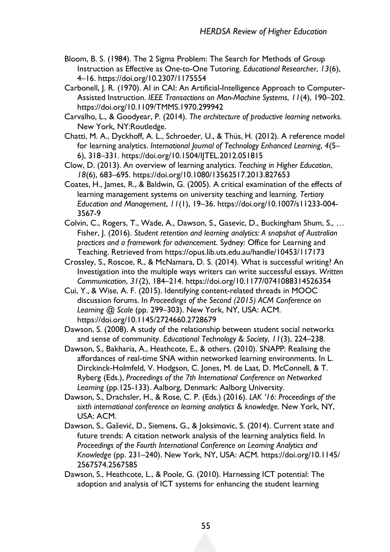- Bloom, B. S. (1984). The 2 Sigma Problem: The Search for Methods of Group Instruction as Effective as One-to-One Tutoring. *Educational Researcher*, *13*(6), 4–16. https://doi.org/10.2307/1175554
- Carbonell, J. R. (1970). AI in CAI: An Artificial-Intelligence Approach to Computer-Assisted Instruction. *IEEE Transactions on Man-Machine Systems*, *11*(4), 190–202. https://doi.org/10.1109/TMMS.1970.299942
- Carvalho, L., & Goodyear, P. (2014). *The architecture of productive learning networks*. New York, NY:Routledge.
- Chatti, M. A., Dyckhoff, A. L., Schroeder, U., & Thüs, H. (2012). A reference model for learning analytics. *International Journal of Technology Enhanced Learning*, *4*(5– 6), 318–331. https://doi.org/10.1504/IJTEL.2012.051815
- Clow, D. (2013). An overview of learning analytics. *Teaching in Higher Education*, *18*(6), 683–695. https://doi.org/10.1080/13562517.2013.827653
- Coates, H., James, R., & Baldwin, G. (2005). A critical examination of the effects of learning management systems on university teaching and learning. *Tertiary Education and Management*, *11*(1), 19–36. https://doi.org/10.1007/s11233-004- 3567-9
- Colvin, C., Rogers, T., Wade, A., Dawson, S., Gasevic, D., Buckingham Shum, S., … Fisher, J. (2016). *Student retention and learning analytics: A snapshot of Australian practices and a framework for advancement*. Sydney: Office for Learning and Teaching. Retrieved from https://opus.lib.uts.edu.au/handle/10453/117173
- Crossley, S., Roscoe, R., & McNamara, D. S. (2014). What is successful writing? An Investigation into the multiple ways writers can write successful essays. *Written Communication*, *31*(2), 184–214. https://doi.org/10.1177/0741088314526354
- Cui, Y., & Wise, A. F. (2015). Identifying content-related threads in MOOC discussion forums. In *Proceedings of the Second (2015) ACM Conference on Learning @ Scale* (pp. 299–303). New York, NY, USA: ACM. https://doi.org/10.1145/2724660.2728679
- Dawson, S. (2008). A study of the relationship between student social networks and sense of community. *Educational Technology & Society*, *11*(3), 224–238.
- Dawson, S., Bakharia, A., Heathcote, E., & others. (2010). SNAPP: Realising the affordances of real-time SNA within networked learning environments. In L. Dirckinck-Holmfeld, V. Hodgson, C. Jones, M. de Laat, D. McConnell, & T. Ryberg (Eds.), *Proceedings of the 7th International Conference on Networked Learning* (pp.125-133). Aalborg, Denmark: Aalborg University.
- Dawson, S., Drachsler, H., & Rose, C. P. (Eds.) (2016). *LAK '16: Proceedings of the sixth international conference on learning analytics & knowledge*. New York, NY, USA: ACM.
- Dawson, S., Gašević, D., Siemens, G., & Joksimovic, S. (2014). Current state and future trends: A citation network analysis of the learning analytics field. In *Proceedings of the Fourth International Conference on Learning Analytics and Knowledge* (pp. 231–240). New York, NY, USA: ACM. https://doi.org/10.1145/ 2567574.2567585
- Dawson, S., Heathcote, L., & Poole, G. (2010). Harnessing ICT potential: The adoption and analysis of ICT systems for enhancing the student learning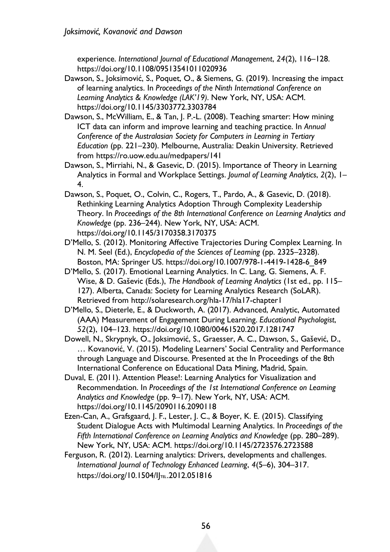experience. *International Journal of Educational Management*, *24*(2), 116–128. https://doi.org/10.1108/09513541011020936

- Dawson, S., Joksimović, S., Poquet, O., & Siemens, G. (2019). Increasing the impact of learning analytics. In *Proceedings of the Ninth International Conference on Learning Analytics & Knowledge (LAK'19)*. New York, NY, USA: ACM. https://doi.org/10.1145/3303772.3303784
- Dawson, S., McWilliam, E., & Tan, J. P.-L. (2008). Teaching smarter: How mining ICT data can inform and improve learning and teaching practice. In *Annual Conference of the Australasian Society for Computers in Learning in Tertiary Education* (pp. 221–230). Melbourne, Australia: Deakin University. Retrieved from https://ro.uow.edu.au/medpapers/141
- Dawson, S., Mirriahi, N., & Gasevic, D. (2015). Importance of Theory in Learning Analytics in Formal and Workplace Settings. *Journal of Learning Analytics*, *2*(2), 1– 4.
- Dawson, S., Poquet, O., Colvin, C., Rogers, T., Pardo, A., & Gasevic, D. (2018). Rethinking Learning Analytics Adoption Through Complexity Leadership Theory. In *Proceedings of the 8th International Conference on Learning Analytics and Knowledge* (pp. 236–244). New York, NY, USA: ACM. https://doi.org/10.1145/3170358.3170375
- D'Mello, S. (2012). Monitoring Affective Trajectories During Complex Learning. In N. M. Seel (Ed.), *Encyclopedia of the Sciences of Learning* (pp. 2325–2328). Boston, MA: Springer US. https://doi.org/10.1007/978-1-4419-1428-6\_849
- D'Mello, S. (2017). Emotional Learning Analytics. In C. Lang, G. Siemens, A. F. Wise, & D. Gaševic (Eds.), *The Handbook of Learning Analytics* (1st ed., pp. 115– 127). Alberta, Canada: Society for Learning Analytics Research (SoLAR). Retrieved from http://solaresearch.org/hla-17/hla17-chapter1
- D'Mello, S., Dieterle, E., & Duckworth, A. (2017). Advanced, Analytic, Automated (AAA) Measurement of Engagement During Learning. *Educational Psychologist*, *52*(2), 104–123. https://doi.org/10.1080/00461520.2017.1281747
- Dowell, N., Skrypnyk, O., Joksimović, S., Graesser, A. C., Dawson, S., Gašević, D., … Kovanović, V. (2015). Modeling Learners' Social Centrality and Performance through Language and Discourse. Presented at the In Proceedings of the 8th International Conference on Educational Data Mining, Madrid, Spain.
- Duval, E. (2011). Attention Please!: Learning Analytics for Visualization and Recommendation. In *Proceedings of the 1st International Conference on Learning Analytics and Knowledge* (pp. 9–17). New York, NY, USA: ACM. https://doi.org/10.1145/2090116.2090118
- Ezen-Can, A., Grafsgaard, J. F., Lester, J. C., & Boyer, K. E. (2015). Classifying Student Dialogue Acts with Multimodal Learning Analytics. In *Proceedings of the Fifth International Conference on Learning Analytics and Knowledge* (pp. 280–289). New York, NY, USA: ACM. https://doi.org/10.1145/2723576.2723588
- Ferguson, R. (2012). Learning analytics: Drivers, developments and challenges. *International Journal of Technology Enhanced Learning*, *4*(5–6), 304–317. https://doi.org/10.1504/IJTEL.2012.051816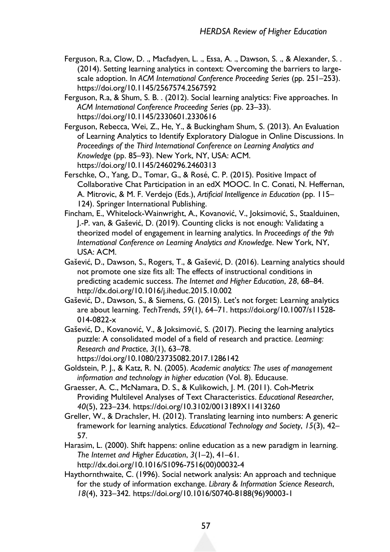- Ferguson, R.a, Clow, D. ., Macfadyen, L. ., Essa, A. ., Dawson, S. ., & Alexander, S. . (2014). Setting learning analytics in context: Overcoming the barriers to largescale adoption. In *ACM International Conference Proceeding Series* (pp. 251–253). https://doi.org/10.1145/2567574.2567592
- Ferguson, R.a, & Shum, S. B. . (2012). Social learning analytics: Five approaches. In *ACM International Conference Proceeding Series* (pp. 23–33). https://doi.org/10.1145/2330601.2330616
- Ferguson, Rebecca, Wei, Z., He, Y., & Buckingham Shum, S. (2013). An Evaluation of Learning Analytics to Identify Exploratory Dialogue in Online Discussions. In *Proceedings of the Third International Conference on Learning Analytics and Knowledge* (pp. 85–93). New York, NY, USA: ACM. https://doi.org/10.1145/2460296.2460313
- Ferschke, O., Yang, D., Tomar, G., & Rosé, C. P. (2015). Positive Impact of Collaborative Chat Participation in an edX MOOC. In C. Conati, N. Heffernan, A. Mitrovic, & M. F. Verdejo (Eds.), *Artificial Intelligence in Education* (pp. 115– 124). Springer International Publishing.
- Fincham, E., Whitelock-Wainwright, A., Kovanović, V., Joksimović, S., Staalduinen, J.-P. van, & Gašević, D. (2019). Counting clicks is not enough: Validating a theorized model of engagement in learning analytics. In *Proceedings of the 9th International Conference on Learning Analytics and Knowledge*. New York, NY, USA: ACM.
- Gašević, D., Dawson, S., Rogers, T., & Gašević, D. (2016). Learning analytics should not promote one size fits all: The effects of instructional conditions in predicting academic success. *The Internet and Higher Education*, *28*, 68–84. http://dx.doi.org/10.1016/j.iheduc.2015.10.002
- Gašević, D., Dawson, S., & Siemens, G. (2015). Let's not forget: Learning analytics are about learning. *TechTrends*, *59*(1), 64–71. https://doi.org/10.1007/s11528- 014-0822-x
- Gašević, D., Kovanović, V., & Joksimović, S. (2017). Piecing the learning analytics puzzle: A consolidated model of a field of research and practice. *Learning: Research and Practice*, *3*(1), 63–78. https://doi.org/10.1080/23735082.2017.1286142
- Goldstein, P. J., & Katz, R. N. (2005). *Academic analytics: The uses of management information and technology in higher education* (Vol. 8). Educause.
- Graesser, A. C., McNamara, D. S., & Kulikowich, J. M. (2011). Coh-Metrix Providing Multilevel Analyses of Text Characteristics. *Educational Researcher*, *40*(5), 223–234. https://doi.org/10.3102/0013189X11413260
- Greller, W., & Drachsler, H. (2012). Translating learning into numbers: A generic framework for learning analytics. *Educational Technology and Society*, *15*(3), 42– 57.
- Harasim, L. (2000). Shift happens: online education as a new paradigm in learning. *The Internet and Higher Education*, *3*(1–2), 41–61. http://dx.doi.org/10.1016/S1096-7516(00)00032-4
- Haythornthwaite, C. (1996). Social network analysis: An approach and technique for the study of information exchange. *Library & Information Science Research*, *18*(4), 323–342. https://doi.org/10.1016/S0740-8188(96)90003-1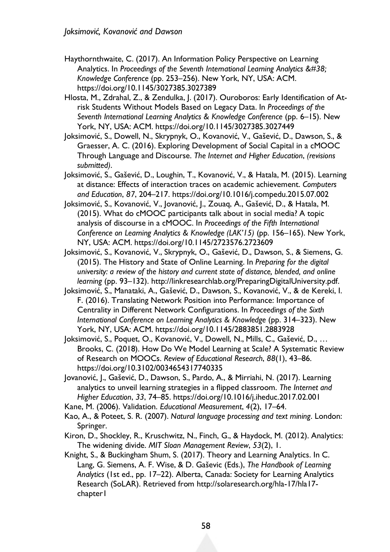- Haythornthwaite, C. (2017). An Information Policy Perspective on Learning Analytics. In *Proceedings of the Seventh International Learning Analytics &#38*; *Knowledge Conference* (pp. 253–256). New York, NY, USA: ACM. https://doi.org/10.1145/3027385.3027389
- Hlosta, M., Zdrahal, Z., & Zendulka, J. (2017). Ouroboros: Early Identification of Atrisk Students Without Models Based on Legacy Data. In *Proceedings of the Seventh International Learning Analytics & Knowledge Conference* (pp. 6–15). New York, NY, USA: ACM. https://doi.org/10.1145/3027385.3027449
- Joksimović, S., Dowell, N., Skrypnyk, O., Kovanović, V., Gašević, D., Dawson, S., & Graesser, A. C. (2016). Exploring Development of Social Capital in a cMOOC Through Language and Discourse. *The Internet and Higher Education*, *(revisions submitted)*.
- Joksimović, S., Gašević, D., Loughin, T., Kovanović, V., & Hatala, M. (2015). Learning at distance: Effects of interaction traces on academic achievement. *Computers and Education*, *87*, 204–217. https://doi.org/10.1016/j.compedu.2015.07.002
- Joksimović, S., Kovanović, V., Jovanović, J., Zouaq, A., Gašević, D., & Hatala, M. (2015). What do cMOOC participants talk about in social media? A topic analysis of discourse in a cMOOC. In *Proceedings of the Fifth International Conference on Learning Analytics & Knowledge (LAK'15)* (pp. 156–165). New York, NY, USA: ACM. https://doi.org/10.1145/2723576.2723609
- Joksimović, S., Kovanović, V., Skrypnyk, O., Gašević, D., Dawson, S., & Siemens, G. (2015). The History and State of Online Learning. In *Preparing for the digital university: a review of the history and current state of distance, blended, and online learning* (pp. 93–132). http://linkresearchlab.org/PreparingDigitalUniversity.pdf.
- Joksimović, S., Manataki, A., Gašević, D., Dawson, S., Kovanović, V., & de Kereki, I. F. (2016). Translating Network Position into Performance: Importance of Centrality in Different Network Configurations. In *Proceedings of the Sixth International Conference on Learning Analytics & Knowledge* (pp. 314–323). New York, NY, USA: ACM. https://doi.org/10.1145/2883851.2883928
- Joksimović, S., Poquet, O., Kovanović, V., Dowell, N., Mills, C., Gašević, D., … Brooks, C. (2018). How Do We Model Learning at Scale? A Systematic Review of Research on MOOCs. *Review of Educational Research*, *88*(1), 43–86. https://doi.org/10.3102/0034654317740335
- Jovanović, J., Gašević, D., Dawson, S., Pardo, A., & Mirriahi, N. (2017). Learning analytics to unveil learning strategies in a flipped classroom. *The Internet and Higher Education*, *33*, 74–85. https://doi.org/10.1016/j.iheduc.2017.02.001
- Kane, M. (2006). Validation. *Educational Measurement*, *4*(2), 17–64.
- Kao, A., & Poteet, S. R. (2007). *Natural language processing and text mining*. London: Springer.
- Kiron, D., Shockley, R., Kruschwitz, N., Finch, G., & Haydock, M. (2012). Analytics: The widening divide. *MIT Sloan Management Review*, *53*(2), 1.
- Knight, S., & Buckingham Shum, S. (2017). Theory and Learning Analytics. In C. Lang, G. Siemens, A. F. Wise, & D. Gaševic (Eds.), *The Handbook of Learning Analytics* (1st ed., pp. 17–22). Alberta, Canada: Society for Learning Analytics Research (SoLAR). Retrieved from http://solaresearch.org/hla-17/hla17 chapter1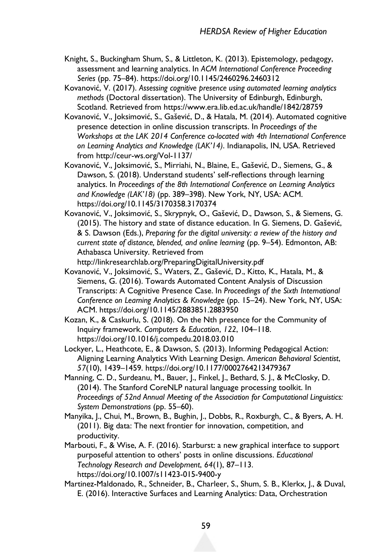- Knight, S., Buckingham Shum, S., & Littleton, K. (2013). Epistemology, pedagogy, assessment and learning analytics. In *ACM International Conference Proceeding Series* (pp. 75–84). https://doi.org/10.1145/2460296.2460312
- Kovanović, V. (2017). *Assessing cognitive presence using automated learning analytics methods* (Doctoral dissertation). The University of Edinburgh, Edinburgh, Scotland. Retrieved from https://www.era.lib.ed.ac.uk/handle/1842/28759
- Kovanović, V., Joksimović, S., Gašević, D., & Hatala, M. (2014). Automated cognitive presence detection in online discussion transcripts. In *Proceedings of the Workshops at the LAK 2014 Conference co-located with 4th International Conference on Learning Analytics and Knowledge (LAK'14)*. Indianapolis, IN, USA. Retrieved from http://ceur-ws.org/Vol-1137/
- Kovanović, V., Joksimović, S., Mirriahi, N., Blaine, E., Gašević, D., Siemens, G., & Dawson, S. (2018). Understand students' self-reflections through learning analytics. In *Proceedings of the 8th International Conference on Learning Analytics and Knowledge (LAK'18)* (pp. 389–398). New York, NY, USA: ACM. https://doi.org/10.1145/3170358.3170374
- Kovanović, V., Joksimović, S., Skrypnyk, O., Gašević, D., Dawson, S., & Siemens, G. (2015). The history and state of distance education. In G. Siemens, D. Gašević, & S. Dawson (Eds.), *Preparing for the digital university: a review of the history and current state of distance, blended, and online learning* (pp. 9–54). Edmonton, AB: Athabasca University. Retrieved from

http://linkresearchlab.org/PreparingDigitalUniversity.pdf

- Kovanović, V., Joksimović, S., Waters, Z., Gašević, D., Kitto, K., Hatala, M., & Siemens, G. (2016). Towards Automated Content Analysis of Discussion Transcripts: A Cognitive Presence Case. In *Proceedings of the Sixth International Conference on Learning Analytics & Knowledge* (pp. 15–24). New York, NY, USA: ACM. https://doi.org/10.1145/2883851.2883950
- Kozan, K., & Caskurlu, S. (2018). On the Nth presence for the Community of Inquiry framework. *Computers & Education*, *122*, 104–118. https://doi.org/10.1016/j.compedu.2018.03.010
- Lockyer, L., Heathcote, E., & Dawson, S. (2013). Informing Pedagogical Action: Aligning Learning Analytics With Learning Design. *American Behavioral Scientist*, *57*(10), 1439–1459. https://doi.org/10.1177/0002764213479367
- Manning, C. D., Surdeanu, M., Bauer, J., Finkel, J., Bethard, S. J., & McClosky, D. (2014). The Stanford CoreNLP natural language processing toolkit. In *Proceedings of 52nd Annual Meeting of the Association for Computational Linguistics: System Demonstrations* (pp. 55–60).
- Manyika, J., Chui, M., Brown, B., Bughin, J., Dobbs, R., Roxburgh, C., & Byers, A. H. (2011). Big data: The next frontier for innovation, competition, and productivity.
- Marbouti, F., & Wise, A. F. (2016). Starburst: a new graphical interface to support purposeful attention to others' posts in online discussions. *Educational Technology Research and Development*, *64*(1), 87–113. https://doi.org/10.1007/s11423-015-9400-y
- Martinez-Maldonado, R., Schneider, B., Charleer, S., Shum, S. B., Klerkx, J., & Duval, E. (2016). Interactive Surfaces and Learning Analytics: Data, Orchestration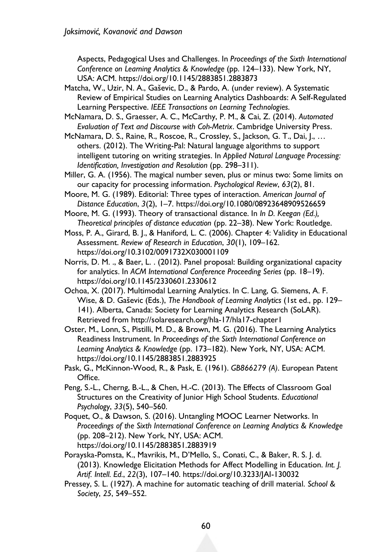Aspects, Pedagogical Uses and Challenges. In *Proceedings of the Sixth International Conference on Learning Analytics & Knowledge* (pp. 124–133). New York, NY, USA: ACM. https://doi.org/10.1145/2883851.2883873

- Matcha, W., Uzir, N. A., Gaševic, D., & Pardo, A. (under review). A Systematic Review of Empirical Studies on Learning Analytics Dashboards: A Self-Regulated Learning Perspective. *IEEE Transactions on Learning Technologies*.
- McNamara, D. S., Graesser, A. C., McCarthy, P. M., & Cai, Z. (2014). *Automated Evaluation of Text and Discourse with Coh-Metrix*. Cambridge University Press.
- McNamara, D. S., Raine, R., Roscoe, R., Crossley, S., Jackson, G. T., Dai, J., … others. (2012). The Writing-Pal: Natural language algorithms to support intelligent tutoring on writing strategies. In *Applied Natural Language Processing: Identification, Investigation and Resolution* (pp. 298–311).
- Miller, G. A. (1956). The magical number seven, plus or minus two: Some limits on our capacity for processing information. *Psychological Review*, *63*(2), 81.
- Moore, M. G. (1989). Editorial: Three types of interaction. *American Journal of Distance Education*, *3*(2), 1–7. https://doi.org/10.1080/08923648909526659
- Moore, M. G. (1993). Theory of transactional distance. In *In D. Keegan (Ed.), Theoretical principles of distance education* (pp. 22–38). New York: Routledge.
- Moss, P. A., Girard, B. J., & Haniford, L. C. (2006). Chapter 4: Validity in Educational Assessment. *Review of Research in Education*, *30*(1), 109–162. https://doi.org/10.3102/0091732X030001109
- Norris, D. M. ., & Baer, L. . (2012). Panel proposal: Building organizational capacity for analytics. In *ACM International Conference Proceeding Series* (pp. 18–19). https://doi.org/10.1145/2330601.2330612
- Ochoa, X. (2017). Multimodal Learning Analytics. In C. Lang, G. Siemens, A. F. Wise, & D. Gaševic (Eds.), *The Handbook of Learning Analytics* (1st ed., pp. 129– 141). Alberta, Canada: Society for Learning Analytics Research (SoLAR). Retrieved from http://solaresearch.org/hla-17/hla17-chapter1
- Oster, M., Lonn, S., Pistilli, M. D., & Brown, M. G. (2016). The Learning Analytics Readiness Instrument. In *Proceedings of the Sixth International Conference on Learning Analytics & Knowledge* (pp. 173–182). New York, NY, USA: ACM. https://doi.org/10.1145/2883851.2883925
- Pask, G., McKinnon-Wood, R., & Pask, E. (1961). *GB866279 (A)*. European Patent Office.
- Peng, S.-L., Cherng, B.-L., & Chen, H.-C. (2013). The Effects of Classroom Goal Structures on the Creativity of Junior High School Students. *Educational Psychology*, *33*(5), 540–560.
- Poquet, O., & Dawson, S. (2016). Untangling MOOC Learner Networks. In *Proceedings of the Sixth International Conference on Learning Analytics & Knowledge* (pp. 208–212). New York, NY, USA: ACM. https://doi.org/10.1145/2883851.2883919
- Porayska-Pomsta, K., Mavrikis, M., D'Mello, S., Conati, C., & Baker, R. S. J. d. (2013). Knowledge Elicitation Methods for Affect Modelling in Education. *Int. J. Artif. Intell. Ed.*, *22*(3), 107–140. https://doi.org/10.3233/JAI-130032
- Pressey, S. L. (1927). A machine for automatic teaching of drill material. *School & Society*, *25*, 549–552.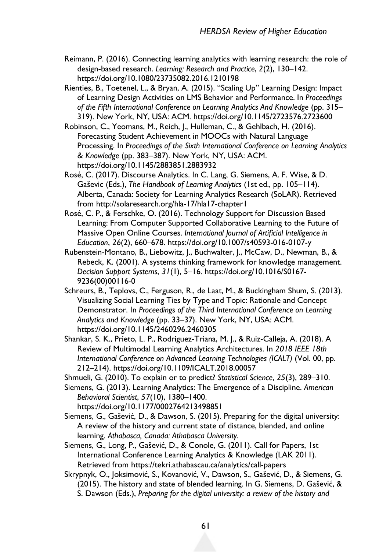- Reimann, P. (2016). Connecting learning analytics with learning research: the role of design-based research. *Learning: Research and Practice*, *2*(2), 130–142. https://doi.org/10.1080/23735082.2016.1210198
- Rienties, B., Toetenel, L., & Bryan, A. (2015). "Scaling Up" Learning Design: Impact of Learning Design Activities on LMS Behavior and Performance. In *Proceedings of the Fifth International Conference on Learning Analytics And Knowledge* (pp. 315– 319). New York, NY, USA: ACM. https://doi.org/10.1145/2723576.2723600
- Robinson, C., Yeomans, M., Reich, J., Hulleman, C., & Gehlbach, H. (2016). Forecasting Student Achievement in MOOCs with Natural Language Processing. In *Proceedings of the Sixth International Conference on Learning Analytics & Knowledge* (pp. 383–387). New York, NY, USA: ACM. https://doi.org/10.1145/2883851.2883932
- Rosé, C. (2017). Discourse Analytics. In C. Lang, G. Siemens, A. F. Wise, & D. Gaševic (Eds.), *The Handbook of Learning Analytics* (1st ed., pp. 105–114). Alberta, Canada: Society for Learning Analytics Research (SoLAR). Retrieved from http://solaresearch.org/hla-17/hla17-chapter1
- Rosé, C. P., & Ferschke, O. (2016). Technology Support for Discussion Based Learning: From Computer Supported Collaborative Learning to the Future of Massive Open Online Courses. *International Journal of Artificial Intelligence in Education*, *26*(2), 660–678. https://doi.org/10.1007/s40593-016-0107-y
- Rubenstein-Montano, B., Liebowitz, J., Buchwalter, J., McCaw, D., Newman, B., & Rebeck, K. (2001). A systems thinking framework for knowledge management. *Decision Support Systems*, *31*(1), 5–16. https://doi.org/10.1016/S0167- 9236(00)00116-0
- Schreurs, B., Teplovs, C., Ferguson, R., de Laat, M., & Buckingham Shum, S. (2013). Visualizing Social Learning Ties by Type and Topic: Rationale and Concept Demonstrator. In *Proceedings of the Third International Conference on Learning Analytics and Knowledge* (pp. 33–37). New York, NY, USA: ACM. https://doi.org/10.1145/2460296.2460305
- Shankar, S. K., Prieto, L. P., Rodriguez-Triana, M. J., & Ruiz-Calleja, A. (2018). A Review of Multimodal Learning Analytics Architectures. In *2018 IEEE 18th International Conference on Advanced Learning Technologies (ICALT)* (Vol. 00, pp. 212–214). https://doi.org/10.1109/ICALT.2018.00057
- Shmueli, G. (2010). To explain or to predict? *Statistical Science*, *25*(3), 289–310.

Siemens, G. (2013). Learning Analytics: The Emergence of a Discipline. *American Behavioral Scientist*, *57*(10), 1380–1400. https://doi.org/10.1177/0002764213498851

- Siemens, G., Gašević, D., & Dawson, S. (2015). Preparing for the digital university: A review of the history and current state of distance, blended, and online learning. *Athabasca, Canada: Athabasca University*.
- Siemens, G., Long, P., Gašević, D., & Conole, G. (2011). Call for Papers, 1st International Conference Learning Analytics & Knowledge (LAK 2011). Retrieved from https://tekri.athabascau.ca/analytics/call-papers
- Skrypnyk, O., Joksimović, S., Kovanović, V., Dawson, S., Gašević, D., & Siemens, G. (2015). The history and state of blended learning. In G. Siemens, D. Gašević, & S. Dawson (Eds.), *Preparing for the digital university: a review of the history and*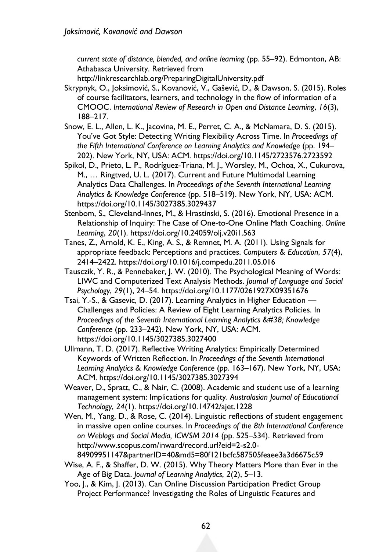*current state of distance, blended, and online learning* (pp. 55–92). Edmonton, AB: Athabasca University. Retrieved from

http://linkresearchlab.org/PreparingDigitalUniversity.pdf

- Skrypnyk, O., Joksimović, S., Kovanović, V., Gašević, D., & Dawson, S. (2015). Roles of course facilitators, learners, and technology in the flow of information of a CMOOC. *International Review of Research in Open and Distance Learning*, *16*(3), 188–217.
- Snow, E. L., Allen, L. K., Jacovina, M. E., Perret, C. A., & McNamara, D. S. (2015). You've Got Style: Detecting Writing Flexibility Across Time. In *Proceedings of the Fifth International Conference on Learning Analytics and Knowledge* (pp. 194– 202). New York, NY, USA: ACM. https://doi.org/10.1145/2723576.2723592
- Spikol, D., Prieto, L. P., Rodríguez-Triana, M. J., Worsley, M., Ochoa, X., Cukurova, M., … Ringtved, U. L. (2017). Current and Future Multimodal Learning Analytics Data Challenges. In *Proceedings of the Seventh International Learning Analytics & Knowledge Conference* (pp. 518–519). New York, NY, USA: ACM. https://doi.org/10.1145/3027385.3029437
- Stenbom, S., Cleveland-Innes, M., & Hrastinski, S. (2016). Emotional Presence in a Relationship of Inquiry: The Case of One-to-One Online Math Coaching. *Online Learning*, *20*(1). https://doi.org/10.24059/olj.v20i1.563
- Tanes, Z., Arnold, K. E., King, A. S., & Remnet, M. A. (2011). Using Signals for appropriate feedback: Perceptions and practices. *Computers & Education*, *57*(4), 2414–2422. https://doi.org/10.1016/j.compedu.2011.05.016
- Tausczik, Y. R., & Pennebaker, J. W. (2010). The Psychological Meaning of Words: LIWC and Computerized Text Analysis Methods. *Journal of Language and Social Psychology*, *29*(1), 24–54. https://doi.org/10.1177/0261927X09351676
- Tsai, Y.-S., & Gasevic, D. (2017). Learning Analytics in Higher Education Challenges and Policies: A Review of Eight Learning Analytics Policies. In *Proceedings of the Seventh International Learning Analytics & Knowledge Conference* (pp. 233–242). New York, NY, USA: ACM. https://doi.org/10.1145/3027385.3027400
- Ullmann, T. D. (2017). Reflective Writing Analytics: Empirically Determined Keywords of Written Reflection. In *Proceedings of the Seventh International Learning Analytics & Knowledge Conference* (pp. 163–167). New York, NY, USA: ACM. https://doi.org/10.1145/3027385.3027394
- Weaver, D., Spratt, C., & Nair, C. (2008). Academic and student use of a learning management system: Implications for quality. *Australasian Journal of Educational Technology*, *24*(1). https://doi.org/10.14742/ajet.1228
- Wen, M., Yang, D., & Rose, C. (2014). Linguistic reflections of student engagement in massive open online courses. In *Proceedings of the 8th International Conference on Weblogs and Social Media, ICWSM 2014* (pp. 525–534). Retrieved from http://www.scopus.com/inward/record.url?eid=2-s2.0-

84909951147&partnerID=40&md5=80f121bcfc587505feaee3a3d6675c59

- Wise, A. F., & Shaffer, D. W. (2015). Why Theory Matters More than Ever in the Age of Big Data. *Journal of Learning Analytics*, *2*(2), 5–13.
- Yoo, J., & Kim, J. (2013). Can Online Discussion Participation Predict Group Project Performance? Investigating the Roles of Linguistic Features and